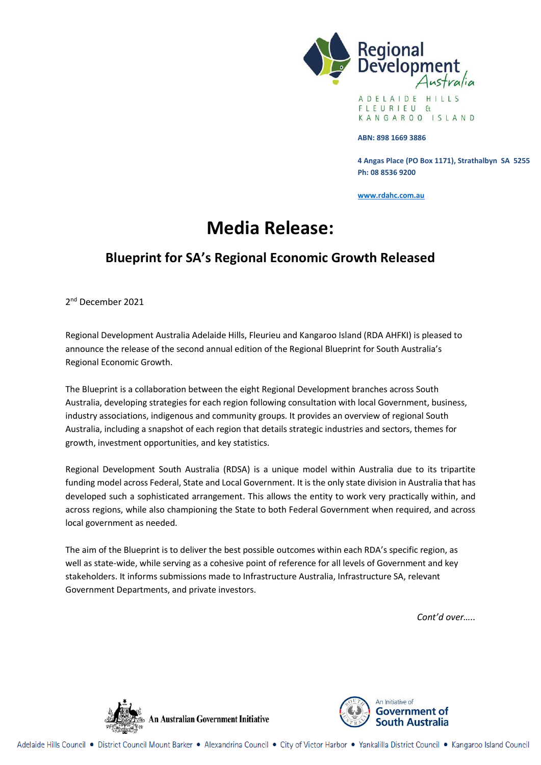

A D E L A I D E H I L L S FLEURIEU  $H$ KANGAROO ISLAND

#### **ABN: 898 1669 3886**

**4 Angas Place (PO Box 1171), Strathalbyn SA 5255 Ph: 08 8536 9200**

**[www.rdahc.com.au](http://www.rdahc.com.au/)**

# **Media Release:**

## **Blueprint for SA's Regional Economic Growth Released**

2<sup>nd</sup> December 2021

Regional Development Australia Adelaide Hills, Fleurieu and Kangaroo Island (RDA AHFKI) is pleased to announce the release of the second annual edition of the Regional Blueprint for South Australia's Regional Economic Growth.

The Blueprint is a collaboration between the eight Regional Development branches across South Australia, developing strategies for each region following consultation with local Government, business, industry associations, indigenous and community groups. It provides an overview of regional South Australia, including a snapshot of each region that details strategic industries and sectors, themes for growth, investment opportunities, and key statistics.

Regional Development South Australia (RDSA) is a unique model within Australia due to its tripartite funding model across Federal, State and Local Government. It is the only state division in Australia that has developed such a sophisticated arrangement. This allows the entity to work very practically within, and across regions, while also championing the State to both Federal Government when required, and across local government as needed.

The aim of the Blueprint is to deliver the best possible outcomes within each RDA's specific region, as well as state-wide, while serving as a cohesive point of reference for all levels of Government and key stakeholders. It informs submissions made to Infrastructure Australia, Infrastructure SA, relevant Government Departments, and private investors.

*Cont'd over…..*